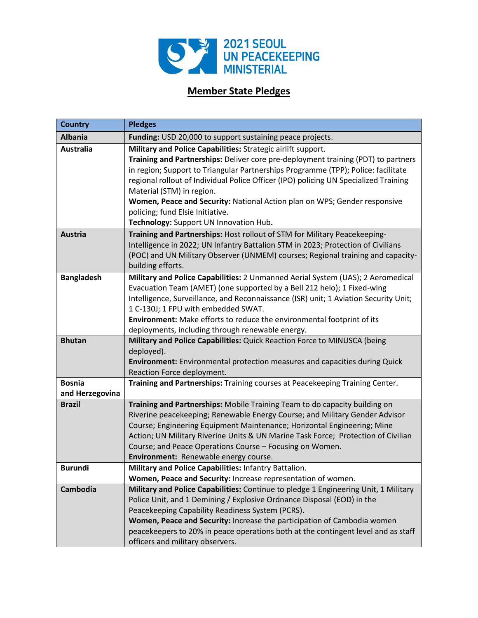

## **Member State Pledges**

| <b>Country</b>                   | <b>Pledges</b>                                                                                                                                                                                                                                                                                                                                                                                                                                                                                                         |
|----------------------------------|------------------------------------------------------------------------------------------------------------------------------------------------------------------------------------------------------------------------------------------------------------------------------------------------------------------------------------------------------------------------------------------------------------------------------------------------------------------------------------------------------------------------|
| <b>Albania</b>                   | Funding: USD 20,000 to support sustaining peace projects.                                                                                                                                                                                                                                                                                                                                                                                                                                                              |
| <b>Australia</b>                 | Military and Police Capabilities: Strategic airlift support.<br>Training and Partnerships: Deliver core pre-deployment training (PDT) to partners<br>in region; Support to Triangular Partnerships Programme (TPP); Police: facilitate<br>regional rollout of Individual Police Officer (IPO) policing UN Specialized Training<br>Material (STM) in region.<br>Women, Peace and Security: National Action plan on WPS; Gender responsive<br>policing; fund Elsie Initiative.<br>Technology: Support UN Innovation Hub. |
| <b>Austria</b>                   | Training and Partnerships: Host rollout of STM for Military Peacekeeping-<br>Intelligence in 2022; UN Infantry Battalion STM in 2023; Protection of Civilians<br>(POC) and UN Military Observer (UNMEM) courses; Regional training and capacity-<br>building efforts.                                                                                                                                                                                                                                                  |
| <b>Bangladesh</b>                | Military and Police Capabilities: 2 Unmanned Aerial System (UAS); 2 Aeromedical<br>Evacuation Team (AMET) (one supported by a Bell 212 helo); 1 Fixed-wing<br>Intelligence, Surveillance, and Reconnaissance (ISR) unit; 1 Aviation Security Unit;<br>1 C-130J; 1 FPU with embedded SWAT.<br>Environment: Make efforts to reduce the environmental footprint of its<br>deployments, including through renewable energy.                                                                                                |
| <b>Bhutan</b>                    | Military and Police Capabilities: Quick Reaction Force to MINUSCA (being<br>deployed).<br><b>Environment:</b> Environmental protection measures and capacities during Quick<br>Reaction Force deployment.                                                                                                                                                                                                                                                                                                              |
| <b>Bosnia</b><br>and Herzegovina | Training and Partnerships: Training courses at Peacekeeping Training Center.                                                                                                                                                                                                                                                                                                                                                                                                                                           |
| <b>Brazil</b>                    | Training and Partnerships: Mobile Training Team to do capacity building on<br>Riverine peacekeeping; Renewable Energy Course; and Military Gender Advisor<br>Course; Engineering Equipment Maintenance; Horizontal Engineering; Mine<br>Action; UN Military Riverine Units & UN Marine Task Force; Protection of Civilian<br>Course; and Peace Operations Course - Focusing on Women.<br>Environment: Renewable energy course.                                                                                         |
| Burundi                          | Military and Police Capabilities: Infantry Battalion.<br>Women, Peace and Security: Increase representation of women.                                                                                                                                                                                                                                                                                                                                                                                                  |
| Cambodia                         | Military and Police Capabilities: Continue to pledge 1 Engineering Unit, 1 Military<br>Police Unit, and 1 Demining / Explosive Ordnance Disposal (EOD) in the<br>Peacekeeping Capability Readiness System (PCRS).<br>Women, Peace and Security: Increase the participation of Cambodia women<br>peacekeepers to 20% in peace operations both at the contingent level and as staff<br>officers and military observers.                                                                                                  |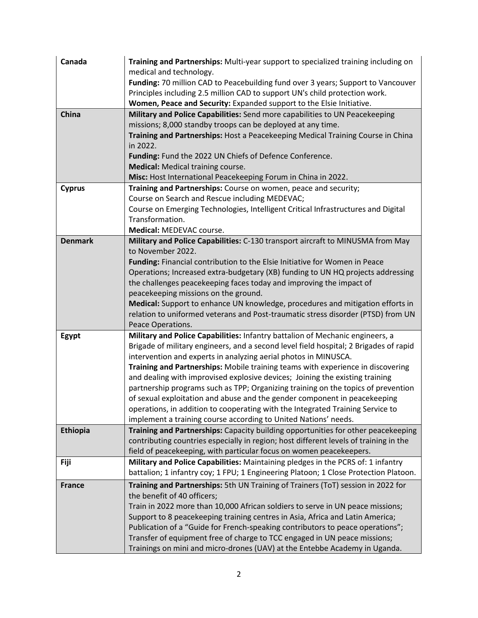| Canada         | Training and Partnerships: Multi-year support to specialized training including on                                                                                     |
|----------------|------------------------------------------------------------------------------------------------------------------------------------------------------------------------|
|                | medical and technology.                                                                                                                                                |
|                | Funding: 70 million CAD to Peacebuilding fund over 3 years; Support to Vancouver                                                                                       |
|                | Principles including 2.5 million CAD to support UN's child protection work.                                                                                            |
|                | Women, Peace and Security: Expanded support to the Elsie Initiative.                                                                                                   |
| China          | Military and Police Capabilities: Send more capabilities to UN Peacekeeping                                                                                            |
|                | missions; 8,000 standby troops can be deployed at any time.                                                                                                            |
|                | Training and Partnerships: Host a Peacekeeping Medical Training Course in China                                                                                        |
|                | in 2022.                                                                                                                                                               |
|                | Funding: Fund the 2022 UN Chiefs of Defence Conference.                                                                                                                |
|                | Medical: Medical training course.                                                                                                                                      |
|                | Misc: Host International Peacekeeping Forum in China in 2022.                                                                                                          |
| <b>Cyprus</b>  | Training and Partnerships: Course on women, peace and security;                                                                                                        |
|                | Course on Search and Rescue including MEDEVAC;                                                                                                                         |
|                | Course on Emerging Technologies, Intelligent Critical Infrastructures and Digital                                                                                      |
|                | Transformation.                                                                                                                                                        |
|                | Medical: MEDEVAC course.                                                                                                                                               |
| <b>Denmark</b> | Military and Police Capabilities: C-130 transport aircraft to MINUSMA from May                                                                                         |
|                | to November 2022.                                                                                                                                                      |
|                | Funding: Financial contribution to the Elsie Initiative for Women in Peace                                                                                             |
|                | Operations; Increased extra-budgetary (XB) funding to UN HQ projects addressing                                                                                        |
|                | the challenges peacekeeping faces today and improving the impact of                                                                                                    |
|                | peacekeeping missions on the ground.                                                                                                                                   |
|                | Medical: Support to enhance UN knowledge, procedures and mitigation efforts in                                                                                         |
|                | relation to uniformed veterans and Post-traumatic stress disorder (PTSD) from UN                                                                                       |
|                | Peace Operations.                                                                                                                                                      |
| Egypt          | Military and Police Capabilities: Infantry battalion of Mechanic engineers, a<br>Brigade of military engineers, and a second level field hospital; 2 Brigades of rapid |
|                | intervention and experts in analyzing aerial photos in MINUSCA.                                                                                                        |
|                | Training and Partnerships: Mobile training teams with experience in discovering                                                                                        |
|                | and dealing with improvised explosive devices; Joining the existing training                                                                                           |
|                | partnership programs such as TPP; Organizing training on the topics of prevention                                                                                      |
|                | of sexual exploitation and abuse and the gender component in peacekeeping                                                                                              |
|                | operations, in addition to cooperating with the Integrated Training Service to                                                                                         |
|                | implement a training course according to United Nations' needs.                                                                                                        |
| Ethiopia       | Training and Partnerships: Capacity building opportunities for other peacekeeping                                                                                      |
|                | contributing countries especially in region; host different levels of training in the                                                                                  |
|                | field of peacekeeping, with particular focus on women peacekeepers.                                                                                                    |
| Fiji           | Military and Police Capabilities: Maintaining pledges in the PCRS of: 1 infantry                                                                                       |
|                | battalion; 1 infantry coy; 1 FPU; 1 Engineering Platoon; 1 Close Protection Platoon.                                                                                   |
| <b>France</b>  | Training and Partnerships: 5th UN Training of Trainers (ToT) session in 2022 for                                                                                       |
|                | the benefit of 40 officers;                                                                                                                                            |
|                | Train in 2022 more than 10,000 African soldiers to serve in UN peace missions;                                                                                         |
|                | Support to 8 peacekeeping training centres in Asia, Africa and Latin America;                                                                                          |
|                | Publication of a "Guide for French-speaking contributors to peace operations";                                                                                         |
|                | Transfer of equipment free of charge to TCC engaged in UN peace missions;                                                                                              |
|                | Trainings on mini and micro-drones (UAV) at the Entebbe Academy in Uganda.                                                                                             |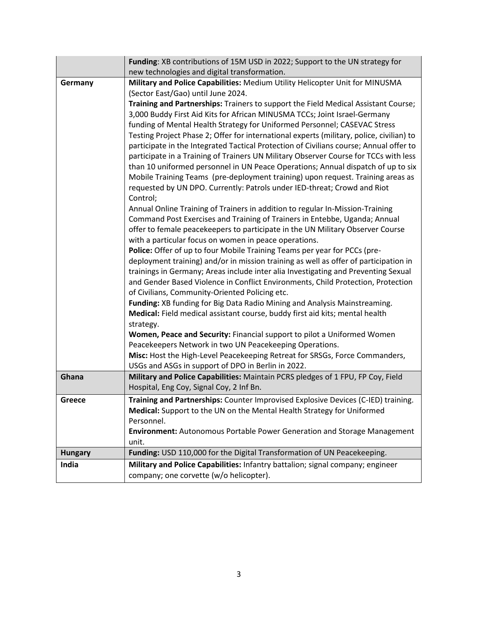|                | Funding: XB contributions of 15M USD in 2022; Support to the UN strategy for                                                       |
|----------------|------------------------------------------------------------------------------------------------------------------------------------|
|                | new technologies and digital transformation.                                                                                       |
| Germany        | Military and Police Capabilities: Medium Utility Helicopter Unit for MINUSMA                                                       |
|                | (Sector East/Gao) until June 2024.                                                                                                 |
|                | Training and Partnerships: Trainers to support the Field Medical Assistant Course;                                                 |
|                | 3,000 Buddy First Aid Kits for African MINUSMA TCCs; Joint Israel-Germany                                                          |
|                | funding of Mental Health Strategy for Uniformed Personnel; CASEVAC Stress                                                          |
|                | Testing Project Phase 2; Offer for international experts (military, police, civilian) to                                           |
|                | participate in the Integrated Tactical Protection of Civilians course; Annual offer to                                             |
|                | participate in a Training of Trainers UN Military Observer Course for TCCs with less                                               |
|                | than 10 uniformed personnel in UN Peace Operations; Annual dispatch of up to six                                                   |
|                | Mobile Training Teams (pre-deployment training) upon request. Training areas as                                                    |
|                | requested by UN DPO. Currently: Patrols under IED-threat; Crowd and Riot                                                           |
|                | Control;                                                                                                                           |
|                | Annual Online Training of Trainers in addition to regular In-Mission-Training                                                      |
|                | Command Post Exercises and Training of Trainers in Entebbe, Uganda; Annual                                                         |
|                | offer to female peacekeepers to participate in the UN Military Observer Course                                                     |
|                | with a particular focus on women in peace operations.<br>Police: Offer of up to four Mobile Training Teams per year for PCCs (pre- |
|                | deployment training) and/or in mission training as well as offer of participation in                                               |
|                | trainings in Germany; Areas include inter alia Investigating and Preventing Sexual                                                 |
|                | and Gender Based Violence in Conflict Environments, Child Protection, Protection                                                   |
|                | of Civilians, Community-Oriented Policing etc.                                                                                     |
|                | Funding: XB funding for Big Data Radio Mining and Analysis Mainstreaming.                                                          |
|                | Medical: Field medical assistant course, buddy first aid kits; mental health                                                       |
|                | strategy.                                                                                                                          |
|                | Women, Peace and Security: Financial support to pilot a Uniformed Women                                                            |
|                | Peacekeepers Network in two UN Peacekeeping Operations.                                                                            |
|                | Misc: Host the High-Level Peacekeeping Retreat for SRSGs, Force Commanders,                                                        |
|                | USGs and ASGs in support of DPO in Berlin in 2022.                                                                                 |
| Ghana          | Military and Police Capabilities: Maintain PCRS pledges of 1 FPU, FP Coy, Field                                                    |
|                | Hospital, Eng Coy, Signal Coy, 2 Inf Bn.                                                                                           |
| <b>Greece</b>  | Training and Partnerships: Counter Improvised Explosive Devices (C-IED) training.                                                  |
|                | Medical: Support to the UN on the Mental Health Strategy for Uniformed                                                             |
|                | Personnel.                                                                                                                         |
|                | <b>Environment:</b> Autonomous Portable Power Generation and Storage Management                                                    |
|                | unit.                                                                                                                              |
| <b>Hungary</b> | Funding: USD 110,000 for the Digital Transformation of UN Peacekeeping.                                                            |
| India          | Military and Police Capabilities: Infantry battalion; signal company; engineer                                                     |
|                | company; one corvette (w/o helicopter).                                                                                            |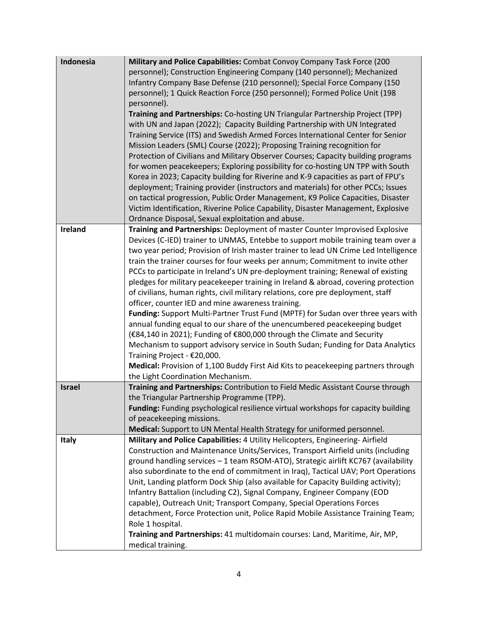| personnel); Construction Engineering Company (140 personnel); Mechanized<br>Infantry Company Base Defense (210 personnel); Special Force Company (150<br>personnel); 1 Quick Reaction Force (250 personnel); Formed Police Unit (198<br>personnel).<br>Training and Partnerships: Co-hosting UN Triangular Partnership Project (TPP)<br>with UN and Japan (2022); Capacity Building Partnership with UN Integrated<br>Training Service (ITS) and Swedish Armed Forces International Center for Senior<br>Mission Leaders (SML) Course (2022); Proposing Training recognition for<br>Protection of Civilians and Military Observer Courses; Capacity building programs<br>for women peacekeepers; Exploring possibility for co-hosting UN TPP with South<br>Korea in 2023; Capacity building for Riverine and K-9 capacities as part of FPU's<br>deployment; Training provider (instructors and materials) for other PCCs; Issues<br>on tactical progression, Public Order Management, K9 Police Capacities, Disaster<br>Victim Identification, Riverine Police Capability, Disaster Management, Explosive<br>Ordnance Disposal, Sexual exploitation and abuse.<br>Ireland<br>Training and Partnerships: Deployment of master Counter Improvised Explosive<br>Devices (C-IED) trainer to UNMAS, Entebbe to support mobile training team over a<br>two year period; Provision of Irish master trainer to lead UN Crime Led Intelligence<br>train the trainer courses for four weeks per annum; Commitment to invite other<br>PCCs to participate in Ireland's UN pre-deployment training; Renewal of existing<br>pledges for military peacekeeper training in Ireland & abroad, covering protection<br>of civilians, human rights, civil military relations, core pre deployment, staff<br>officer, counter IED and mine awareness training.<br>Funding: Support Multi-Partner Trust Fund (MPTF) for Sudan over three years with<br>annual funding equal to our share of the unencumbered peacekeeping budget<br>(€84,140 in 2021); Funding of €800,000 through the Climate and Security<br>Mechanism to support advisory service in South Sudan; Funding for Data Analytics<br>Training Project - €20,000.<br>Medical: Provision of 1,100 Buddy First Aid Kits to peacekeeping partners through<br>the Light Coordination Mechanism.<br>Training and Partnerships: Contribution to Field Medic Assistant Course through<br><b>Israel</b><br>the Triangular Partnership Programme (TPP). |
|----------------------------------------------------------------------------------------------------------------------------------------------------------------------------------------------------------------------------------------------------------------------------------------------------------------------------------------------------------------------------------------------------------------------------------------------------------------------------------------------------------------------------------------------------------------------------------------------------------------------------------------------------------------------------------------------------------------------------------------------------------------------------------------------------------------------------------------------------------------------------------------------------------------------------------------------------------------------------------------------------------------------------------------------------------------------------------------------------------------------------------------------------------------------------------------------------------------------------------------------------------------------------------------------------------------------------------------------------------------------------------------------------------------------------------------------------------------------------------------------------------------------------------------------------------------------------------------------------------------------------------------------------------------------------------------------------------------------------------------------------------------------------------------------------------------------------------------------------------------------------------------------------------------------------------------------------------------------------------------------------------------------------------------------------------------------------------------------------------------------------------------------------------------------------------------------------------------------------------------------------------------------------------------------------------------------------------------------------------------------------------------------------------------------------------------------------------------------------------------|
|                                                                                                                                                                                                                                                                                                                                                                                                                                                                                                                                                                                                                                                                                                                                                                                                                                                                                                                                                                                                                                                                                                                                                                                                                                                                                                                                                                                                                                                                                                                                                                                                                                                                                                                                                                                                                                                                                                                                                                                                                                                                                                                                                                                                                                                                                                                                                                                                                                                                                        |
|                                                                                                                                                                                                                                                                                                                                                                                                                                                                                                                                                                                                                                                                                                                                                                                                                                                                                                                                                                                                                                                                                                                                                                                                                                                                                                                                                                                                                                                                                                                                                                                                                                                                                                                                                                                                                                                                                                                                                                                                                                                                                                                                                                                                                                                                                                                                                                                                                                                                                        |
|                                                                                                                                                                                                                                                                                                                                                                                                                                                                                                                                                                                                                                                                                                                                                                                                                                                                                                                                                                                                                                                                                                                                                                                                                                                                                                                                                                                                                                                                                                                                                                                                                                                                                                                                                                                                                                                                                                                                                                                                                                                                                                                                                                                                                                                                                                                                                                                                                                                                                        |
|                                                                                                                                                                                                                                                                                                                                                                                                                                                                                                                                                                                                                                                                                                                                                                                                                                                                                                                                                                                                                                                                                                                                                                                                                                                                                                                                                                                                                                                                                                                                                                                                                                                                                                                                                                                                                                                                                                                                                                                                                                                                                                                                                                                                                                                                                                                                                                                                                                                                                        |
|                                                                                                                                                                                                                                                                                                                                                                                                                                                                                                                                                                                                                                                                                                                                                                                                                                                                                                                                                                                                                                                                                                                                                                                                                                                                                                                                                                                                                                                                                                                                                                                                                                                                                                                                                                                                                                                                                                                                                                                                                                                                                                                                                                                                                                                                                                                                                                                                                                                                                        |
|                                                                                                                                                                                                                                                                                                                                                                                                                                                                                                                                                                                                                                                                                                                                                                                                                                                                                                                                                                                                                                                                                                                                                                                                                                                                                                                                                                                                                                                                                                                                                                                                                                                                                                                                                                                                                                                                                                                                                                                                                                                                                                                                                                                                                                                                                                                                                                                                                                                                                        |
|                                                                                                                                                                                                                                                                                                                                                                                                                                                                                                                                                                                                                                                                                                                                                                                                                                                                                                                                                                                                                                                                                                                                                                                                                                                                                                                                                                                                                                                                                                                                                                                                                                                                                                                                                                                                                                                                                                                                                                                                                                                                                                                                                                                                                                                                                                                                                                                                                                                                                        |
|                                                                                                                                                                                                                                                                                                                                                                                                                                                                                                                                                                                                                                                                                                                                                                                                                                                                                                                                                                                                                                                                                                                                                                                                                                                                                                                                                                                                                                                                                                                                                                                                                                                                                                                                                                                                                                                                                                                                                                                                                                                                                                                                                                                                                                                                                                                                                                                                                                                                                        |
|                                                                                                                                                                                                                                                                                                                                                                                                                                                                                                                                                                                                                                                                                                                                                                                                                                                                                                                                                                                                                                                                                                                                                                                                                                                                                                                                                                                                                                                                                                                                                                                                                                                                                                                                                                                                                                                                                                                                                                                                                                                                                                                                                                                                                                                                                                                                                                                                                                                                                        |
|                                                                                                                                                                                                                                                                                                                                                                                                                                                                                                                                                                                                                                                                                                                                                                                                                                                                                                                                                                                                                                                                                                                                                                                                                                                                                                                                                                                                                                                                                                                                                                                                                                                                                                                                                                                                                                                                                                                                                                                                                                                                                                                                                                                                                                                                                                                                                                                                                                                                                        |
|                                                                                                                                                                                                                                                                                                                                                                                                                                                                                                                                                                                                                                                                                                                                                                                                                                                                                                                                                                                                                                                                                                                                                                                                                                                                                                                                                                                                                                                                                                                                                                                                                                                                                                                                                                                                                                                                                                                                                                                                                                                                                                                                                                                                                                                                                                                                                                                                                                                                                        |
|                                                                                                                                                                                                                                                                                                                                                                                                                                                                                                                                                                                                                                                                                                                                                                                                                                                                                                                                                                                                                                                                                                                                                                                                                                                                                                                                                                                                                                                                                                                                                                                                                                                                                                                                                                                                                                                                                                                                                                                                                                                                                                                                                                                                                                                                                                                                                                                                                                                                                        |
|                                                                                                                                                                                                                                                                                                                                                                                                                                                                                                                                                                                                                                                                                                                                                                                                                                                                                                                                                                                                                                                                                                                                                                                                                                                                                                                                                                                                                                                                                                                                                                                                                                                                                                                                                                                                                                                                                                                                                                                                                                                                                                                                                                                                                                                                                                                                                                                                                                                                                        |
|                                                                                                                                                                                                                                                                                                                                                                                                                                                                                                                                                                                                                                                                                                                                                                                                                                                                                                                                                                                                                                                                                                                                                                                                                                                                                                                                                                                                                                                                                                                                                                                                                                                                                                                                                                                                                                                                                                                                                                                                                                                                                                                                                                                                                                                                                                                                                                                                                                                                                        |
|                                                                                                                                                                                                                                                                                                                                                                                                                                                                                                                                                                                                                                                                                                                                                                                                                                                                                                                                                                                                                                                                                                                                                                                                                                                                                                                                                                                                                                                                                                                                                                                                                                                                                                                                                                                                                                                                                                                                                                                                                                                                                                                                                                                                                                                                                                                                                                                                                                                                                        |
|                                                                                                                                                                                                                                                                                                                                                                                                                                                                                                                                                                                                                                                                                                                                                                                                                                                                                                                                                                                                                                                                                                                                                                                                                                                                                                                                                                                                                                                                                                                                                                                                                                                                                                                                                                                                                                                                                                                                                                                                                                                                                                                                                                                                                                                                                                                                                                                                                                                                                        |
|                                                                                                                                                                                                                                                                                                                                                                                                                                                                                                                                                                                                                                                                                                                                                                                                                                                                                                                                                                                                                                                                                                                                                                                                                                                                                                                                                                                                                                                                                                                                                                                                                                                                                                                                                                                                                                                                                                                                                                                                                                                                                                                                                                                                                                                                                                                                                                                                                                                                                        |
|                                                                                                                                                                                                                                                                                                                                                                                                                                                                                                                                                                                                                                                                                                                                                                                                                                                                                                                                                                                                                                                                                                                                                                                                                                                                                                                                                                                                                                                                                                                                                                                                                                                                                                                                                                                                                                                                                                                                                                                                                                                                                                                                                                                                                                                                                                                                                                                                                                                                                        |
|                                                                                                                                                                                                                                                                                                                                                                                                                                                                                                                                                                                                                                                                                                                                                                                                                                                                                                                                                                                                                                                                                                                                                                                                                                                                                                                                                                                                                                                                                                                                                                                                                                                                                                                                                                                                                                                                                                                                                                                                                                                                                                                                                                                                                                                                                                                                                                                                                                                                                        |
|                                                                                                                                                                                                                                                                                                                                                                                                                                                                                                                                                                                                                                                                                                                                                                                                                                                                                                                                                                                                                                                                                                                                                                                                                                                                                                                                                                                                                                                                                                                                                                                                                                                                                                                                                                                                                                                                                                                                                                                                                                                                                                                                                                                                                                                                                                                                                                                                                                                                                        |
|                                                                                                                                                                                                                                                                                                                                                                                                                                                                                                                                                                                                                                                                                                                                                                                                                                                                                                                                                                                                                                                                                                                                                                                                                                                                                                                                                                                                                                                                                                                                                                                                                                                                                                                                                                                                                                                                                                                                                                                                                                                                                                                                                                                                                                                                                                                                                                                                                                                                                        |
|                                                                                                                                                                                                                                                                                                                                                                                                                                                                                                                                                                                                                                                                                                                                                                                                                                                                                                                                                                                                                                                                                                                                                                                                                                                                                                                                                                                                                                                                                                                                                                                                                                                                                                                                                                                                                                                                                                                                                                                                                                                                                                                                                                                                                                                                                                                                                                                                                                                                                        |
|                                                                                                                                                                                                                                                                                                                                                                                                                                                                                                                                                                                                                                                                                                                                                                                                                                                                                                                                                                                                                                                                                                                                                                                                                                                                                                                                                                                                                                                                                                                                                                                                                                                                                                                                                                                                                                                                                                                                                                                                                                                                                                                                                                                                                                                                                                                                                                                                                                                                                        |
|                                                                                                                                                                                                                                                                                                                                                                                                                                                                                                                                                                                                                                                                                                                                                                                                                                                                                                                                                                                                                                                                                                                                                                                                                                                                                                                                                                                                                                                                                                                                                                                                                                                                                                                                                                                                                                                                                                                                                                                                                                                                                                                                                                                                                                                                                                                                                                                                                                                                                        |
|                                                                                                                                                                                                                                                                                                                                                                                                                                                                                                                                                                                                                                                                                                                                                                                                                                                                                                                                                                                                                                                                                                                                                                                                                                                                                                                                                                                                                                                                                                                                                                                                                                                                                                                                                                                                                                                                                                                                                                                                                                                                                                                                                                                                                                                                                                                                                                                                                                                                                        |
|                                                                                                                                                                                                                                                                                                                                                                                                                                                                                                                                                                                                                                                                                                                                                                                                                                                                                                                                                                                                                                                                                                                                                                                                                                                                                                                                                                                                                                                                                                                                                                                                                                                                                                                                                                                                                                                                                                                                                                                                                                                                                                                                                                                                                                                                                                                                                                                                                                                                                        |
|                                                                                                                                                                                                                                                                                                                                                                                                                                                                                                                                                                                                                                                                                                                                                                                                                                                                                                                                                                                                                                                                                                                                                                                                                                                                                                                                                                                                                                                                                                                                                                                                                                                                                                                                                                                                                                                                                                                                                                                                                                                                                                                                                                                                                                                                                                                                                                                                                                                                                        |
|                                                                                                                                                                                                                                                                                                                                                                                                                                                                                                                                                                                                                                                                                                                                                                                                                                                                                                                                                                                                                                                                                                                                                                                                                                                                                                                                                                                                                                                                                                                                                                                                                                                                                                                                                                                                                                                                                                                                                                                                                                                                                                                                                                                                                                                                                                                                                                                                                                                                                        |
|                                                                                                                                                                                                                                                                                                                                                                                                                                                                                                                                                                                                                                                                                                                                                                                                                                                                                                                                                                                                                                                                                                                                                                                                                                                                                                                                                                                                                                                                                                                                                                                                                                                                                                                                                                                                                                                                                                                                                                                                                                                                                                                                                                                                                                                                                                                                                                                                                                                                                        |
|                                                                                                                                                                                                                                                                                                                                                                                                                                                                                                                                                                                                                                                                                                                                                                                                                                                                                                                                                                                                                                                                                                                                                                                                                                                                                                                                                                                                                                                                                                                                                                                                                                                                                                                                                                                                                                                                                                                                                                                                                                                                                                                                                                                                                                                                                                                                                                                                                                                                                        |
|                                                                                                                                                                                                                                                                                                                                                                                                                                                                                                                                                                                                                                                                                                                                                                                                                                                                                                                                                                                                                                                                                                                                                                                                                                                                                                                                                                                                                                                                                                                                                                                                                                                                                                                                                                                                                                                                                                                                                                                                                                                                                                                                                                                                                                                                                                                                                                                                                                                                                        |
|                                                                                                                                                                                                                                                                                                                                                                                                                                                                                                                                                                                                                                                                                                                                                                                                                                                                                                                                                                                                                                                                                                                                                                                                                                                                                                                                                                                                                                                                                                                                                                                                                                                                                                                                                                                                                                                                                                                                                                                                                                                                                                                                                                                                                                                                                                                                                                                                                                                                                        |
|                                                                                                                                                                                                                                                                                                                                                                                                                                                                                                                                                                                                                                                                                                                                                                                                                                                                                                                                                                                                                                                                                                                                                                                                                                                                                                                                                                                                                                                                                                                                                                                                                                                                                                                                                                                                                                                                                                                                                                                                                                                                                                                                                                                                                                                                                                                                                                                                                                                                                        |
| Funding: Funding psychological resilience virtual workshops for capacity building                                                                                                                                                                                                                                                                                                                                                                                                                                                                                                                                                                                                                                                                                                                                                                                                                                                                                                                                                                                                                                                                                                                                                                                                                                                                                                                                                                                                                                                                                                                                                                                                                                                                                                                                                                                                                                                                                                                                                                                                                                                                                                                                                                                                                                                                                                                                                                                                      |
| of peacekeeping missions.                                                                                                                                                                                                                                                                                                                                                                                                                                                                                                                                                                                                                                                                                                                                                                                                                                                                                                                                                                                                                                                                                                                                                                                                                                                                                                                                                                                                                                                                                                                                                                                                                                                                                                                                                                                                                                                                                                                                                                                                                                                                                                                                                                                                                                                                                                                                                                                                                                                              |
| Medical: Support to UN Mental Health Strategy for uniformed personnel.                                                                                                                                                                                                                                                                                                                                                                                                                                                                                                                                                                                                                                                                                                                                                                                                                                                                                                                                                                                                                                                                                                                                                                                                                                                                                                                                                                                                                                                                                                                                                                                                                                                                                                                                                                                                                                                                                                                                                                                                                                                                                                                                                                                                                                                                                                                                                                                                                 |
| Military and Police Capabilities: 4 Utility Helicopters, Engineering-Airfield<br><b>Italy</b>                                                                                                                                                                                                                                                                                                                                                                                                                                                                                                                                                                                                                                                                                                                                                                                                                                                                                                                                                                                                                                                                                                                                                                                                                                                                                                                                                                                                                                                                                                                                                                                                                                                                                                                                                                                                                                                                                                                                                                                                                                                                                                                                                                                                                                                                                                                                                                                          |
| Construction and Maintenance Units/Services, Transport Airfield units (including                                                                                                                                                                                                                                                                                                                                                                                                                                                                                                                                                                                                                                                                                                                                                                                                                                                                                                                                                                                                                                                                                                                                                                                                                                                                                                                                                                                                                                                                                                                                                                                                                                                                                                                                                                                                                                                                                                                                                                                                                                                                                                                                                                                                                                                                                                                                                                                                       |
| ground handling services - 1 team RSOM-ATO), Strategic airlift KC767 (availability                                                                                                                                                                                                                                                                                                                                                                                                                                                                                                                                                                                                                                                                                                                                                                                                                                                                                                                                                                                                                                                                                                                                                                                                                                                                                                                                                                                                                                                                                                                                                                                                                                                                                                                                                                                                                                                                                                                                                                                                                                                                                                                                                                                                                                                                                                                                                                                                     |
| also subordinate to the end of commitment in Iraq), Tactical UAV; Port Operations                                                                                                                                                                                                                                                                                                                                                                                                                                                                                                                                                                                                                                                                                                                                                                                                                                                                                                                                                                                                                                                                                                                                                                                                                                                                                                                                                                                                                                                                                                                                                                                                                                                                                                                                                                                                                                                                                                                                                                                                                                                                                                                                                                                                                                                                                                                                                                                                      |
| Unit, Landing platform Dock Ship (also available for Capacity Building activity);                                                                                                                                                                                                                                                                                                                                                                                                                                                                                                                                                                                                                                                                                                                                                                                                                                                                                                                                                                                                                                                                                                                                                                                                                                                                                                                                                                                                                                                                                                                                                                                                                                                                                                                                                                                                                                                                                                                                                                                                                                                                                                                                                                                                                                                                                                                                                                                                      |
| Infantry Battalion (including C2), Signal Company, Engineer Company (EOD                                                                                                                                                                                                                                                                                                                                                                                                                                                                                                                                                                                                                                                                                                                                                                                                                                                                                                                                                                                                                                                                                                                                                                                                                                                                                                                                                                                                                                                                                                                                                                                                                                                                                                                                                                                                                                                                                                                                                                                                                                                                                                                                                                                                                                                                                                                                                                                                               |
| capable), Outreach Unit; Transport Company, Special Operations Forces                                                                                                                                                                                                                                                                                                                                                                                                                                                                                                                                                                                                                                                                                                                                                                                                                                                                                                                                                                                                                                                                                                                                                                                                                                                                                                                                                                                                                                                                                                                                                                                                                                                                                                                                                                                                                                                                                                                                                                                                                                                                                                                                                                                                                                                                                                                                                                                                                  |
| detachment, Force Protection unit, Police Rapid Mobile Assistance Training Team;                                                                                                                                                                                                                                                                                                                                                                                                                                                                                                                                                                                                                                                                                                                                                                                                                                                                                                                                                                                                                                                                                                                                                                                                                                                                                                                                                                                                                                                                                                                                                                                                                                                                                                                                                                                                                                                                                                                                                                                                                                                                                                                                                                                                                                                                                                                                                                                                       |
| Role 1 hospital.                                                                                                                                                                                                                                                                                                                                                                                                                                                                                                                                                                                                                                                                                                                                                                                                                                                                                                                                                                                                                                                                                                                                                                                                                                                                                                                                                                                                                                                                                                                                                                                                                                                                                                                                                                                                                                                                                                                                                                                                                                                                                                                                                                                                                                                                                                                                                                                                                                                                       |
| Training and Partnerships: 41 multidomain courses: Land, Maritime, Air, MP,                                                                                                                                                                                                                                                                                                                                                                                                                                                                                                                                                                                                                                                                                                                                                                                                                                                                                                                                                                                                                                                                                                                                                                                                                                                                                                                                                                                                                                                                                                                                                                                                                                                                                                                                                                                                                                                                                                                                                                                                                                                                                                                                                                                                                                                                                                                                                                                                            |
| medical training.                                                                                                                                                                                                                                                                                                                                                                                                                                                                                                                                                                                                                                                                                                                                                                                                                                                                                                                                                                                                                                                                                                                                                                                                                                                                                                                                                                                                                                                                                                                                                                                                                                                                                                                                                                                                                                                                                                                                                                                                                                                                                                                                                                                                                                                                                                                                                                                                                                                                      |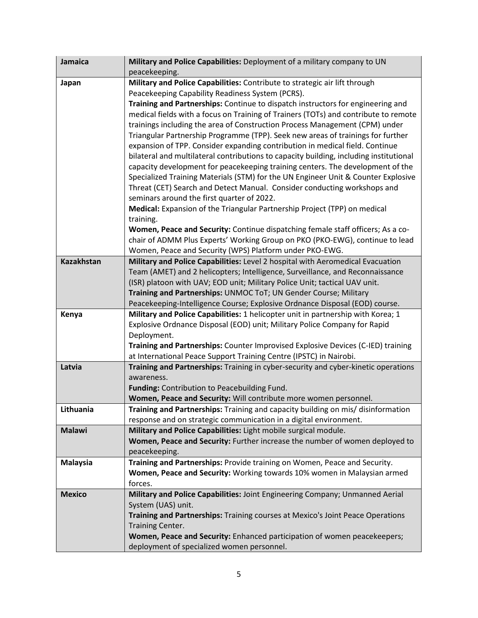| <b>Jamaica</b>    | Military and Police Capabilities: Deployment of a military company to UN<br>peacekeeping. |
|-------------------|-------------------------------------------------------------------------------------------|
| Japan             | Military and Police Capabilities: Contribute to strategic air lift through                |
|                   | Peacekeeping Capability Readiness System (PCRS).                                          |
|                   | Training and Partnerships: Continue to dispatch instructors for engineering and           |
|                   | medical fields with a focus on Training of Trainers (TOTs) and contribute to remote       |
|                   | trainings including the area of Construction Process Management (CPM) under               |
|                   | Triangular Partnership Programme (TPP). Seek new areas of trainings for further           |
|                   | expansion of TPP. Consider expanding contribution in medical field. Continue              |
|                   | bilateral and multilateral contributions to capacity building, including institutional    |
|                   | capacity development for peacekeeping training centers. The development of the            |
|                   | Specialized Training Materials (STM) for the UN Engineer Unit & Counter Explosive         |
|                   | Threat (CET) Search and Detect Manual. Consider conducting workshops and                  |
|                   | seminars around the first quarter of 2022.                                                |
|                   | Medical: Expansion of the Triangular Partnership Project (TPP) on medical                 |
|                   | training.                                                                                 |
|                   | Women, Peace and Security: Continue dispatching female staff officers; As a co-           |
|                   | chair of ADMM Plus Experts' Working Group on PKO (PKO-EWG), continue to lead              |
|                   | Women, Peace and Security (WPS) Platform under PKO-EWG.                                   |
| <b>Kazakhstan</b> | Military and Police Capabilities: Level 2 hospital with Aeromedical Evacuation            |
|                   | Team (AMET) and 2 helicopters; Intelligence, Surveillance, and Reconnaissance             |
|                   | (ISR) platoon with UAV; EOD unit; Military Police Unit; tactical UAV unit.                |
|                   | Training and Partnerships: UNMOC ToT; UN Gender Course; Military                          |
|                   | Peacekeeping-Intelligence Course; Explosive Ordnance Disposal (EOD) course.               |
| Kenya             | Military and Police Capabilities: 1 helicopter unit in partnership with Korea; 1          |
|                   | Explosive Ordnance Disposal (EOD) unit; Military Police Company for Rapid                 |
|                   | Deployment.                                                                               |
|                   | Training and Partnerships: Counter Improvised Explosive Devices (C-IED) training          |
|                   | at International Peace Support Training Centre (IPSTC) in Nairobi.                        |
| Latvia            | Training and Partnerships: Training in cyber-security and cyber-kinetic operations        |
|                   | awareness.<br>Funding: Contribution to Peacebuilding Fund.                                |
|                   | Women, Peace and Security: Will contribute more women personnel.                          |
| Lithuania         | Training and Partnerships: Training and capacity building on mis/ disinformation          |
|                   | response and on strategic communication in a digital environment.                         |
| <b>Malawi</b>     | Military and Police Capabilities: Light mobile surgical module.                           |
|                   | Women, Peace and Security: Further increase the number of women deployed to               |
|                   | peacekeeping.                                                                             |
| <b>Malaysia</b>   | Training and Partnerships: Provide training on Women, Peace and Security.                 |
|                   | Women, Peace and Security: Working towards 10% women in Malaysian armed                   |
|                   | forces.                                                                                   |
| <b>Mexico</b>     | Military and Police Capabilities: Joint Engineering Company; Unmanned Aerial              |
|                   | System (UAS) unit.                                                                        |
|                   | Training and Partnerships: Training courses at Mexico's Joint Peace Operations            |
|                   | Training Center.                                                                          |
|                   | Women, Peace and Security: Enhanced participation of women peacekeepers;                  |
|                   | deployment of specialized women personnel.                                                |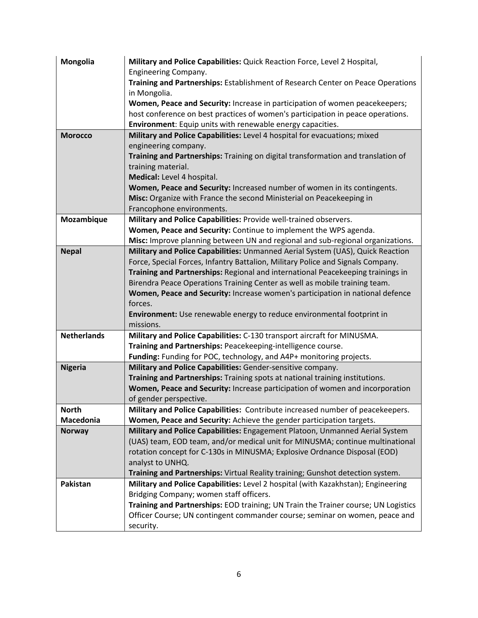| Mongolia           | Military and Police Capabilities: Quick Reaction Force, Level 2 Hospital,                                                                                          |
|--------------------|--------------------------------------------------------------------------------------------------------------------------------------------------------------------|
|                    | Engineering Company.                                                                                                                                               |
|                    | Training and Partnerships: Establishment of Research Center on Peace Operations<br>in Mongolia.                                                                    |
|                    | Women, Peace and Security: Increase in participation of women peacekeepers;                                                                                        |
|                    | host conference on best practices of women's participation in peace operations.                                                                                    |
|                    | Environment: Equip units with renewable energy capacities.                                                                                                         |
| <b>Morocco</b>     | Military and Police Capabilities: Level 4 hospital for evacuations; mixed                                                                                          |
|                    | engineering company.                                                                                                                                               |
|                    | Training and Partnerships: Training on digital transformation and translation of                                                                                   |
|                    | training material.                                                                                                                                                 |
|                    | Medical: Level 4 hospital.                                                                                                                                         |
|                    | Women, Peace and Security: Increased number of women in its contingents.                                                                                           |
|                    | Misc: Organize with France the second Ministerial on Peacekeeping in                                                                                               |
|                    | Francophone environments.                                                                                                                                          |
| Mozambique         | Military and Police Capabilities: Provide well-trained observers.                                                                                                  |
|                    | Women, Peace and Security: Continue to implement the WPS agenda.                                                                                                   |
|                    | Misc: Improve planning between UN and regional and sub-regional organizations.                                                                                     |
| <b>Nepal</b>       | Military and Police Capabilities: Unmanned Aerial System (UAS), Quick Reaction                                                                                     |
|                    | Force, Special Forces, Infantry Battalion, Military Police and Signals Company.<br>Training and Partnerships: Regional and international Peacekeeping trainings in |
|                    | Birendra Peace Operations Training Center as well as mobile training team.                                                                                         |
|                    | Women, Peace and Security: Increase women's participation in national defence                                                                                      |
|                    | forces.                                                                                                                                                            |
|                    | Environment: Use renewable energy to reduce environmental footprint in                                                                                             |
|                    | missions.                                                                                                                                                          |
| <b>Netherlands</b> | Military and Police Capabilities: C-130 transport aircraft for MINUSMA.                                                                                            |
|                    | Training and Partnerships: Peacekeeping-intelligence course.                                                                                                       |
|                    | Funding: Funding for POC, technology, and A4P+ monitoring projects.                                                                                                |
| <b>Nigeria</b>     | Military and Police Capabilities: Gender-sensitive company.                                                                                                        |
|                    | Training and Partnerships: Training spots at national training institutions.                                                                                       |
|                    | Women, Peace and Security: Increase participation of women and incorporation                                                                                       |
|                    | of gender perspective.                                                                                                                                             |
| <b>North</b>       | Military and Police Capabilities: Contribute increased number of peacekeepers.                                                                                     |
| Macedonia          | Women, Peace and Security: Achieve the gender participation targets.                                                                                               |
| <b>Norway</b>      | Military and Police Capabilities: Engagement Platoon, Unmanned Aerial System<br>(UAS) team, EOD team, and/or medical unit for MINUSMA; continue multinational      |
|                    | rotation concept for C-130s in MINUSMA; Explosive Ordnance Disposal (EOD)                                                                                          |
|                    | analyst to UNHQ.                                                                                                                                                   |
|                    | Training and Partnerships: Virtual Reality training; Gunshot detection system.                                                                                     |
| Pakistan           | Military and Police Capabilities: Level 2 hospital (with Kazakhstan); Engineering                                                                                  |
|                    | Bridging Company; women staff officers.                                                                                                                            |
|                    | Training and Partnerships: EOD training; UN Train the Trainer course; UN Logistics                                                                                 |
|                    | Officer Course; UN contingent commander course; seminar on women, peace and                                                                                        |
|                    | security.                                                                                                                                                          |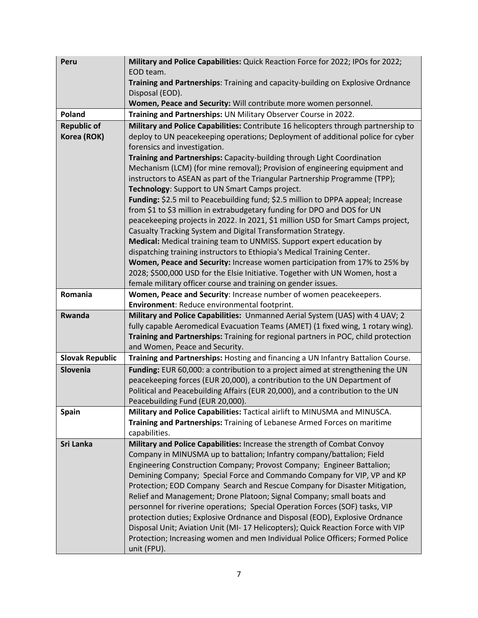| Peru                   | Military and Police Capabilities: Quick Reaction Force for 2022; IPOs for 2022;<br>EOD team.                                                                           |
|------------------------|------------------------------------------------------------------------------------------------------------------------------------------------------------------------|
|                        | Training and Partnerships: Training and capacity-building on Explosive Ordnance                                                                                        |
|                        | Disposal (EOD).                                                                                                                                                        |
|                        | Women, Peace and Security: Will contribute more women personnel.                                                                                                       |
| Poland                 | Training and Partnerships: UN Military Observer Course in 2022.                                                                                                        |
| <b>Republic of</b>     | Military and Police Capabilities: Contribute 16 helicopters through partnership to                                                                                     |
| Korea (ROK)            | deploy to UN peacekeeping operations; Deployment of additional police for cyber                                                                                        |
|                        | forensics and investigation.                                                                                                                                           |
|                        | Training and Partnerships: Capacity-building through Light Coordination                                                                                                |
|                        | Mechanism (LCM) (for mine removal); Provision of engineering equipment and                                                                                             |
|                        | instructors to ASEAN as part of the Triangular Partnership Programme (TPP);                                                                                            |
|                        | Technology: Support to UN Smart Camps project.<br>Funding: \$2.5 mil to Peacebuilding fund; \$2.5 million to DPPA appeal; Increase                                     |
|                        | from \$1 to \$3 million in extrabudgetary funding for DPO and DOS for UN                                                                                               |
|                        | peacekeeping projects in 2022. In 2021, \$1 million USD for Smart Camps project,                                                                                       |
|                        | Casualty Tracking System and Digital Transformation Strategy.                                                                                                          |
|                        | Medical: Medical training team to UNMISS. Support expert education by                                                                                                  |
|                        | dispatching training instructors to Ethiopia's Medical Training Center.                                                                                                |
|                        | Women, Peace and Security: Increase women participation from 17% to 25% by                                                                                             |
|                        | 2028; \$500,000 USD for the Elsie Initiative. Together with UN Women, host a                                                                                           |
|                        | female military officer course and training on gender issues.                                                                                                          |
| Romania                | Women, Peace and Security: Increase number of women peacekeepers.                                                                                                      |
|                        | Environment: Reduce environmental footprint.                                                                                                                           |
| Rwanda                 | Military and Police Capabilities: Unmanned Aerial System (UAS) with 4 UAV; 2                                                                                           |
|                        | fully capable Aeromedical Evacuation Teams (AMET) (1 fixed wing, 1 rotary wing).<br>Training and Partnerships: Training for regional partners in POC, child protection |
|                        | and Women, Peace and Security.                                                                                                                                         |
| <b>Slovak Republic</b> | Training and Partnerships: Hosting and financing a UN Infantry Battalion Course.                                                                                       |
| Slovenia               | Funding: EUR 60,000: a contribution to a project aimed at strengthening the UN                                                                                         |
|                        | peacekeeping forces (EUR 20,000), a contribution to the UN Department of                                                                                               |
|                        | Political and Peacebuilding Affairs (EUR 20,000), and a contribution to the UN                                                                                         |
|                        | Peacebuilding Fund (EUR 20,000).                                                                                                                                       |
| <b>Spain</b>           | Military and Police Capabilities: Tactical airlift to MINUSMA and MINUSCA.                                                                                             |
|                        | Training and Partnerships: Training of Lebanese Armed Forces on maritime                                                                                               |
|                        | capabilities.                                                                                                                                                          |
| Sri Lanka              | Military and Police Capabilities: Increase the strength of Combat Convoy                                                                                               |
|                        | Company in MINUSMA up to battalion; Infantry company/battalion; Field                                                                                                  |
|                        | Engineering Construction Company; Provost Company; Engineer Battalion;                                                                                                 |
|                        | Demining Company; Special Force and Commando Company for VIP, VP and KP                                                                                                |
|                        | Protection; EOD Company Search and Rescue Company for Disaster Mitigation,<br>Relief and Management; Drone Platoon; Signal Company; small boats and                    |
|                        | personnel for riverine operations; Special Operation Forces (SOF) tasks, VIP                                                                                           |
|                        | protection duties; Explosive Ordnance and Disposal (EOD), Explosive Ordnance                                                                                           |
|                        | Disposal Unit; Aviation Unit (MI-17 Helicopters); Quick Reaction Force with VIP                                                                                        |
|                        | Protection; Increasing women and men Individual Police Officers; Formed Police                                                                                         |
|                        | unit (FPU).                                                                                                                                                            |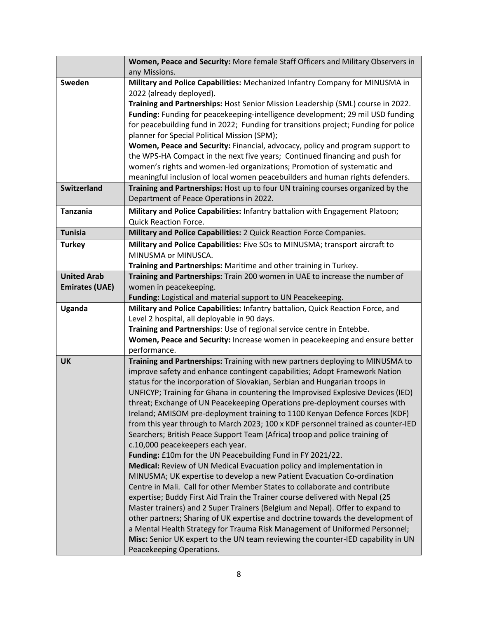|                       | Women, Peace and Security: More female Staff Officers and Military Observers in<br>any Missions.                                                             |
|-----------------------|--------------------------------------------------------------------------------------------------------------------------------------------------------------|
| Sweden                | Military and Police Capabilities: Mechanized Infantry Company for MINUSMA in                                                                                 |
|                       | 2022 (already deployed).                                                                                                                                     |
|                       | Training and Partnerships: Host Senior Mission Leadership (SML) course in 2022.                                                                              |
|                       | Funding: Funding for peacekeeping-intelligence development; 29 mil USD funding                                                                               |
|                       | for peacebuilding fund in 2022; Funding for transitions project; Funding for police                                                                          |
|                       | planner for Special Political Mission (SPM);                                                                                                                 |
|                       | Women, Peace and Security: Financial, advocacy, policy and program support to<br>the WPS-HA Compact in the next five years; Continued financing and push for |
|                       | women's rights and women-led organizations; Promotion of systematic and                                                                                      |
|                       | meaningful inclusion of local women peacebuilders and human rights defenders.                                                                                |
| <b>Switzerland</b>    | Training and Partnerships: Host up to four UN training courses organized by the                                                                              |
|                       | Department of Peace Operations in 2022.                                                                                                                      |
| <b>Tanzania</b>       | Military and Police Capabilities: Infantry battalion with Engagement Platoon;                                                                                |
|                       | <b>Quick Reaction Force.</b>                                                                                                                                 |
| <b>Tunisia</b>        | Military and Police Capabilities: 2 Quick Reaction Force Companies.                                                                                          |
| <b>Turkey</b>         | Military and Police Capabilities: Five SOs to MINUSMA; transport aircraft to                                                                                 |
|                       | MINUSMA or MINUSCA.                                                                                                                                          |
|                       | Training and Partnerships: Maritime and other training in Turkey.                                                                                            |
| <b>United Arab</b>    | Training and Partnerships: Train 200 women in UAE to increase the number of                                                                                  |
| <b>Emirates (UAE)</b> | women in peacekeeping.                                                                                                                                       |
| Uganda                | Funding: Logistical and material support to UN Peacekeeping.<br>Military and Police Capabilities: Infantry battalion, Quick Reaction Force, and              |
|                       | Level 2 hospital, all deployable in 90 days.                                                                                                                 |
|                       | Training and Partnerships: Use of regional service centre in Entebbe.                                                                                        |
|                       | Women, Peace and Security: Increase women in peacekeeping and ensure better                                                                                  |
|                       | performance.                                                                                                                                                 |
| <b>UK</b>             | Training and Partnerships: Training with new partners deploying to MINUSMA to                                                                                |
|                       | improve safety and enhance contingent capabilities; Adopt Framework Nation                                                                                   |
|                       | status for the incorporation of Slovakian, Serbian and Hungarian troops in                                                                                   |
|                       | UNFICYP; Training for Ghana in countering the Improvised Explosive Devices (IED)                                                                             |
|                       | threat; Exchange of UN Peacekeeping Operations pre-deployment courses with                                                                                   |
|                       | Ireland; AMISOM pre-deployment training to 1100 Kenyan Defence Forces (KDF)                                                                                  |
|                       | from this year through to March 2023; 100 x KDF personnel trained as counter-IED                                                                             |
|                       | Searchers; British Peace Support Team (Africa) troop and police training of<br>c.10,000 peacekeepers each year.                                              |
|                       | Funding: £10m for the UN Peacebuilding Fund in FY 2021/22.                                                                                                   |
|                       | Medical: Review of UN Medical Evacuation policy and implementation in                                                                                        |
|                       | MINUSMA; UK expertise to develop a new Patient Evacuation Co-ordination                                                                                      |
|                       | Centre in Mali. Call for other Member States to collaborate and contribute                                                                                   |
|                       | expertise; Buddy First Aid Train the Trainer course delivered with Nepal (25                                                                                 |
|                       | Master trainers) and 2 Super Trainers (Belgium and Nepal). Offer to expand to                                                                                |
|                       | other partners; Sharing of UK expertise and doctrine towards the development of                                                                              |
|                       | a Mental Health Strategy for Trauma Risk Management of Uniformed Personnel;                                                                                  |
|                       | Misc: Senior UK expert to the UN team reviewing the counter-IED capability in UN                                                                             |
|                       | Peacekeeping Operations.                                                                                                                                     |